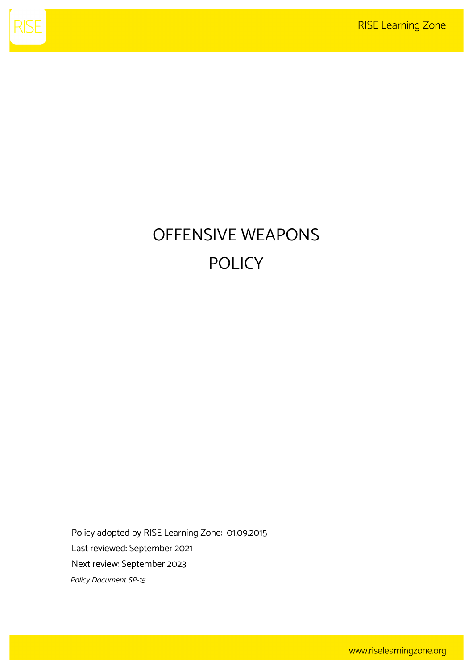

# OFFENSIVE WEAPONS POLICY

Policy adopted by RISE Learning Zone: 01.09.2015 Last reviewed: September 2021 Next review: September 2023 Policy Document SP-15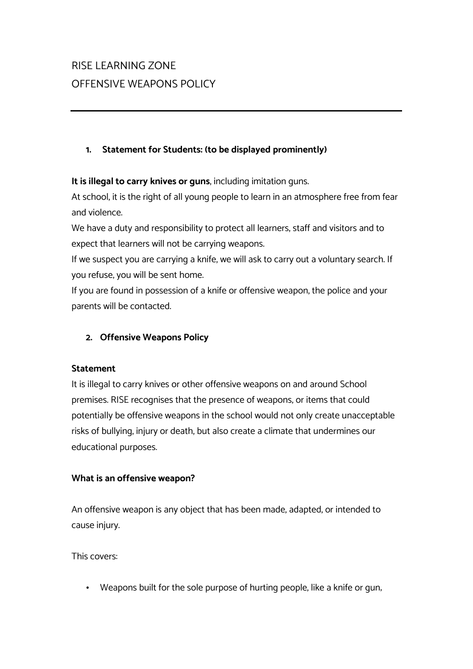## RISE LEARNING ZONE OFFENSIVE WEAPONS POLICY

#### **1. Statement for Students: (to be displayed prominently)**

**It is illegal to carry knives or guns**, including imitation guns.

At school, it is the right of all young people to learn in an atmosphere free from fear and violence.

We have a duty and responsibility to protect all learners, staff and visitors and to expect that learners will not be carrying weapons.

If we suspect you are carrying a knife, we will ask to carry out a voluntary search. If you refuse, you will be sent home.

If you are found in possession of a knife or offensive weapon, the police and your parents will be contacted.

### **2. Offensive Weapons Policy**

#### **Statement**

It is illegal to carry knives or other offensive weapons on and around School premises. RISE recognises that the presence of weapons, or items that could potentially be offensive weapons in the school would not only create unacceptable risks of bullying, injury or death, but also create a climate that undermines our educational purposes.

#### **What is an offensive weapon?**

An offensive weapon is any object that has been made, adapted, or intended to cause injury.

This covers:

• Weapons built for the sole purpose of hurting people, like a knife or gun;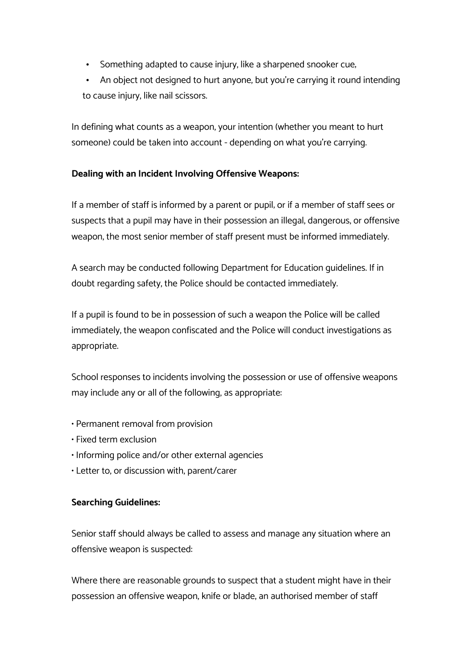- Something adapted to cause injury, like a sharpened snooker cue,
- An object not designed to hurt anyone, but you're carrying it round intending to cause injury, like nail scissors.

In defining what counts as a weapon, your intention (whether you meant to hurt someone) could be taken into account - depending on what you're carrying.

#### **Dealing with an Incident Involving Offensive Weapons:**

If a member of staff is informed by a parent or pupil; or if a member of staff sees or suspects that a pupil may have in their possession an illegal, dangerous, or offensive weapon, the most senior member of staff present must be informed immediately.

A search may be conducted following Department for Education guidelines. If in doubt regarding safety, the Police should be contacted immediately.

If a pupil is found to be in possession of such a weapon the Police will be called immediately, the weapon confiscated and the Police will conduct investigations as appropriate.

School responses to incidents involving the possession or use of offensive weapons may include any or all of the following, as appropriate:

- Permanent removal from provision
- Fixed term exclusion
- Informing police and/or other external agencies
- Letter to, or discussion with, parent/carer

#### **Searching Guidelines:**

Senior staff should always be called to assess and manage any situation where an offensive weapon is suspected:

Where there are reasonable grounds to suspect that a student might have in their possession an offensive weapon, knife or blade, an authorised member of staff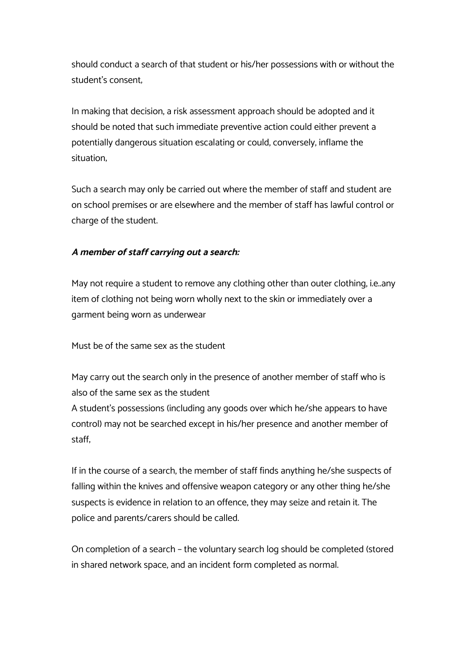should conduct a search of that student or his/her possessions with or without the student's consent;

In making that decision, a risk assessment approach should be adopted and it should be noted that such immediate preventive action could either prevent a potentially dangerous situation escalating or could, conversely, inflame the situation;

Such a search may only be carried out where the member of staff and student are on school premises or are elsewhere and the member of staff has lawful control or charge of the student.

#### **A member of staff carrying out a search:**

May not require a student to remove any clothing other than outer clothing, i.e..any item of clothing not being worn wholly next to the skin or immediately over a garment being worn as underwear

Must be of the same sex as the student

May carry out the search only in the presence of another member of staff who is also of the same sex as the student A student's possessions (including any goods over which he/she appears to have control) may not be searched except in his/her presence and another member of staff;

If in the course of a search, the member of staff finds anything he/she suspects of falling within the knives and offensive weapon category or any other thing he/she suspects is evidence in relation to an offence, they may seize and retain it. The police and parents/carers should be called.

On completion of a search – the voluntary search log should be completed (stored in shared network space, and an incident form completed as normal.